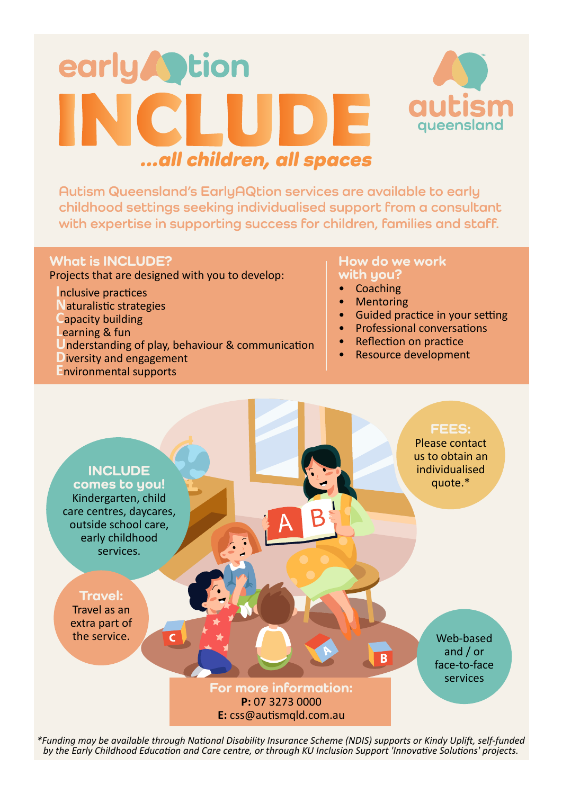## early **Contact Street** NCLU DE ...all children, all spaces



**Autism Queensland's EarlyAQtion services are available to early childhood settings seeking individualised support from a consultant with expertise in supporting success for children, families and staff.**

### **What is INCLUDE?**

Projects that are designed with you to develop:

**I**nclusive practices

**N**aturalistic strategies

- **C**apacity building
- **L**earning & fun
- **U**nderstanding of play, behaviour & communication
- **D**iversity and engagement
- **E**nvironmental supports

### **How do we work with you?**

- Coaching
- Mentoring
- Guided practice in your setting
- Professional conversations
- Reflection on practice
- Resource development



*\*Funding may be available through National Disability Insurance Scheme (NDIS) supports or Kindy Uplift, self-funded by the Early Childhood Education and Care centre, or through KU Inclusion Support 'Innovative Solutions' projects.*